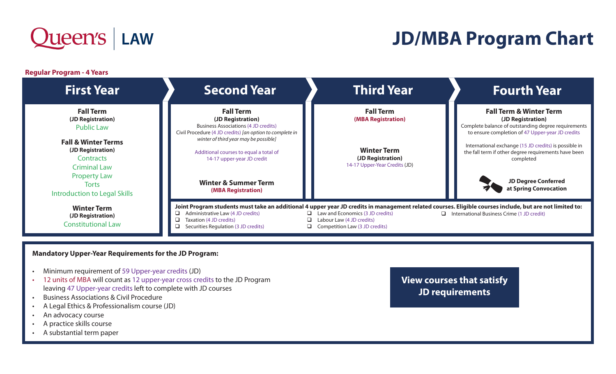

## **JD/MBA Program Chart**

**Regular Program - 4 Years**



## **Mandatory Upper-Year Requirements for the JD Program:**

- Minimum requirement of 59 Upper-year credits (JD)
- 12 units of MBA will count as 12 upper-year cross credits to the JD Program leaving 47 Upper-year credits left to complete with JD courses
- Business Associations & Civil Procedure
- A Legal Ethics & Professionalism course (JD)
- An advocacy course
- A practice skills course
- A substantial term paper

**View courses that satisfy JD requirements**